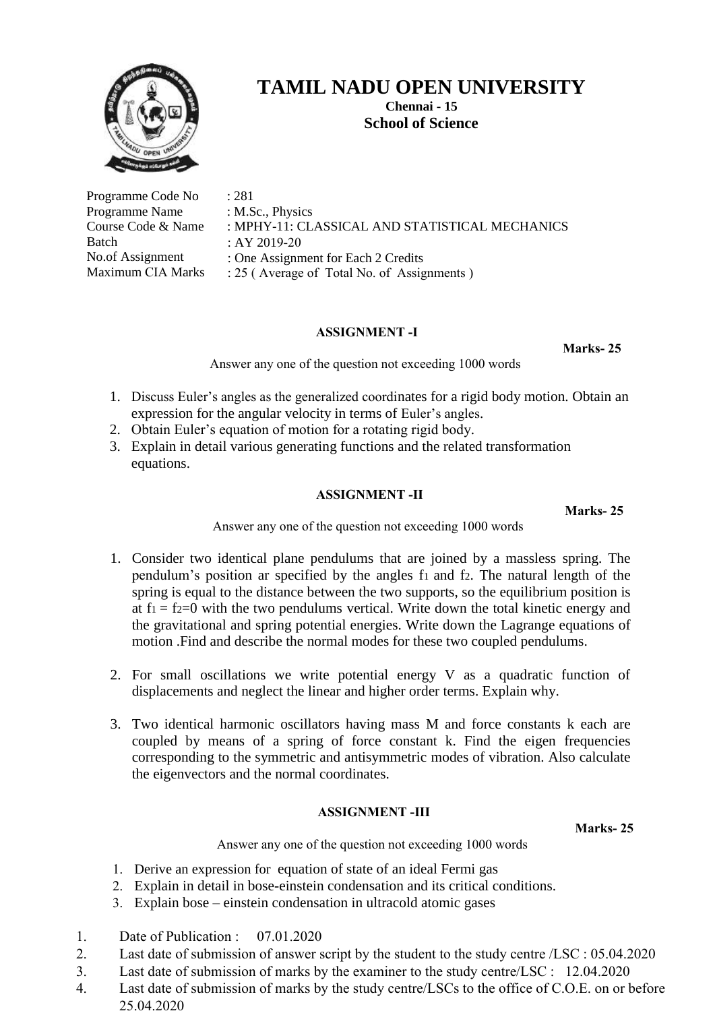

**Chennai - 15 School of Science** 

| Programme Code No  | : 281                                          |
|--------------------|------------------------------------------------|
| Programme Name     | : $M.Sc., Physics$                             |
| Course Code & Name | : MPHY-11: CLASSICAL AND STATISTICAL MECHANICS |
| Batch              | : AY 2019-20                                   |
| No.of Assignment   | : One Assignment for Each 2 Credits            |
| Maximum CIA Marks  | : 25 (Average of Total No. of Assignments)     |

## **ASSIGNMENT -I**

**Marks- 25**

Answer any one of the question not exceeding 1000 words

- 1. Discuss Euler's angles as the generalized coordinates for a rigid body motion. Obtain an expression for the angular velocity in terms of Euler's angles.
- 2. Obtain Euler's equation of motion for a rotating rigid body.
- 3. Explain in detail various generating functions and the related transformation equations.

### **ASSIGNMENT -II**

**Marks- 25**

Answer any one of the question not exceeding 1000 words

- 1. Consider two identical plane pendulums that are joined by a massless spring. The pendulum's position ar specified by the angles f1 and f2. The natural length of the spring is equal to the distance between the two supports, so the equilibrium position is at  $f_1 = f_2 = 0$  with the two pendulums vertical. Write down the total kinetic energy and the gravitational and spring potential energies. Write down the Lagrange equations of motion .Find and describe the normal modes for these two coupled pendulums.
- 2. For small oscillations we write potential energy V as a quadratic function of displacements and neglect the linear and higher order terms. Explain why.
- 3. Two identical harmonic oscillators having mass M and force constants k each are coupled by means of a spring of force constant k. Find the eigen frequencies corresponding to the symmetric and antisymmetric modes of vibration. Also calculate the eigenvectors and the normal coordinates.

#### **ASSIGNMENT -III**

**Marks- 25**

- 1. Derive an expression for equation of state of an ideal Fermi gas
- 2. Explain in detail in bose-einstein condensation and its critical conditions.
- 3. Explain bose einstein condensation in ultracold atomic gases
- 1. Date of Publication : 07.01.2020
- 2. Last date of submission of answer script by the student to the study centre /LSC : 05.04.2020
- 3. Last date of submission of marks by the examiner to the study centre/LSC : 12.04.2020
- 4. Last date of submission of marks by the study centre/LSCs to the office of C.O.E. on or before 25.04.2020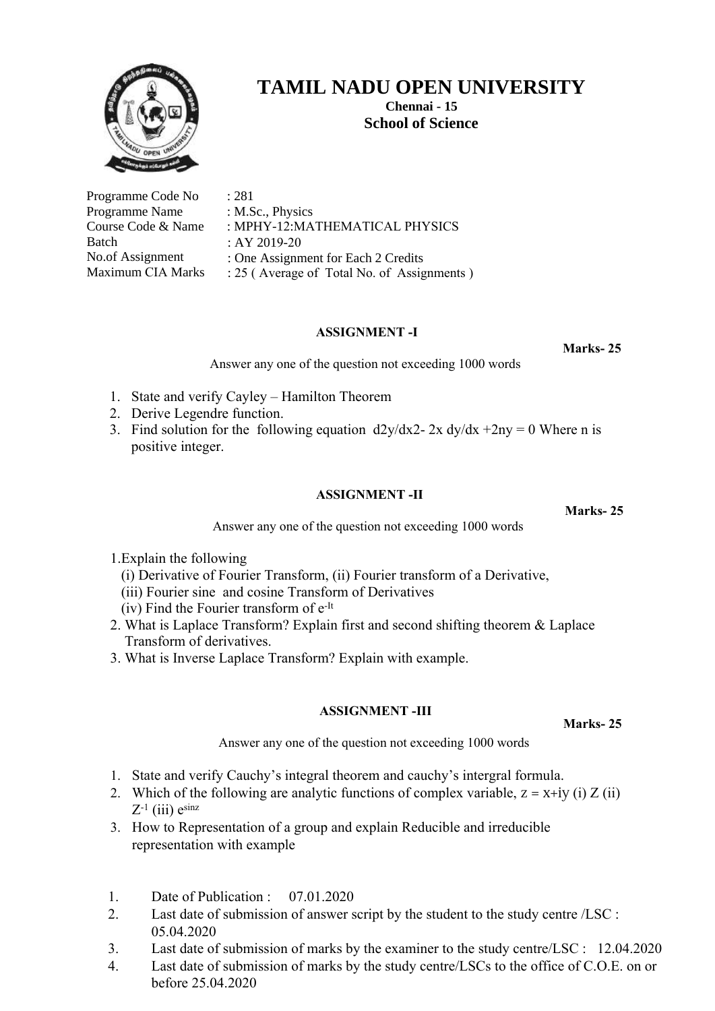

**Chennai - 15 School of Science** 

| Programme Code No        | : 281                                      |
|--------------------------|--------------------------------------------|
| Programme Name           | : M.Sc., Physics                           |
| Course Code & Name       | : MPHY-12:MATHEMATICAL PHYSICS             |
| Batch                    | : AY 2019-20                               |
| No.of Assignment         | : One Assignment for Each 2 Credits        |
| <b>Maximum CIA Marks</b> | : 25 (Average of Total No. of Assignments) |

### **ASSIGNMENT -I**

**Marks- 25**

Answer any one of the question not exceeding 1000 words

- 1. State and verify Cayley Hamilton Theorem
- 2. Derive Legendre function.
- 3. Find solution for the following equation  $\frac{d2y}{dx^2}$  2x  $\frac{dy}{dx}$ +2ny = 0 Where n is positive integer.

### **ASSIGNMENT -II**

**Marks- 25**

Answer any one of the question not exceeding 1000 words

- 1.Explain the following
	- (i) Derivative of Fourier Transform, (ii) Fourier transform of a Derivative,
	- (iii) Fourier sine and cosine Transform of Derivatives

(iv) Find the Fourier transform of  $e^{-It}$ 

- 2. What is Laplace Transform? Explain first and second shifting theorem & Laplace Transform of derivatives.
- 3. What is Inverse Laplace Transform? Explain with example.

### **ASSIGNMENT -III**

**Marks- 25**

- 1. State and verify Cauchy's integral theorem and cauchy's intergral formula.
- 2. Which of the following are analytic functions of complex variable,  $z = x+iy$  (i) Z (ii)  $Z$ <sup>-1</sup> (iii)  $e^{\sin z}$
- 3. How to Representation of a group and explain Reducible and irreducible representation with example
- 1. Date of Publication : 07.01.2020
- 2. Last date of submission of answer script by the student to the study centre /LSC : 05.04.2020
- 3. Last date of submission of marks by the examiner to the study centre/LSC : 12.04.2020
- 4. Last date of submission of marks by the study centre/LSCs to the office of C.O.E. on or before 25.04.2020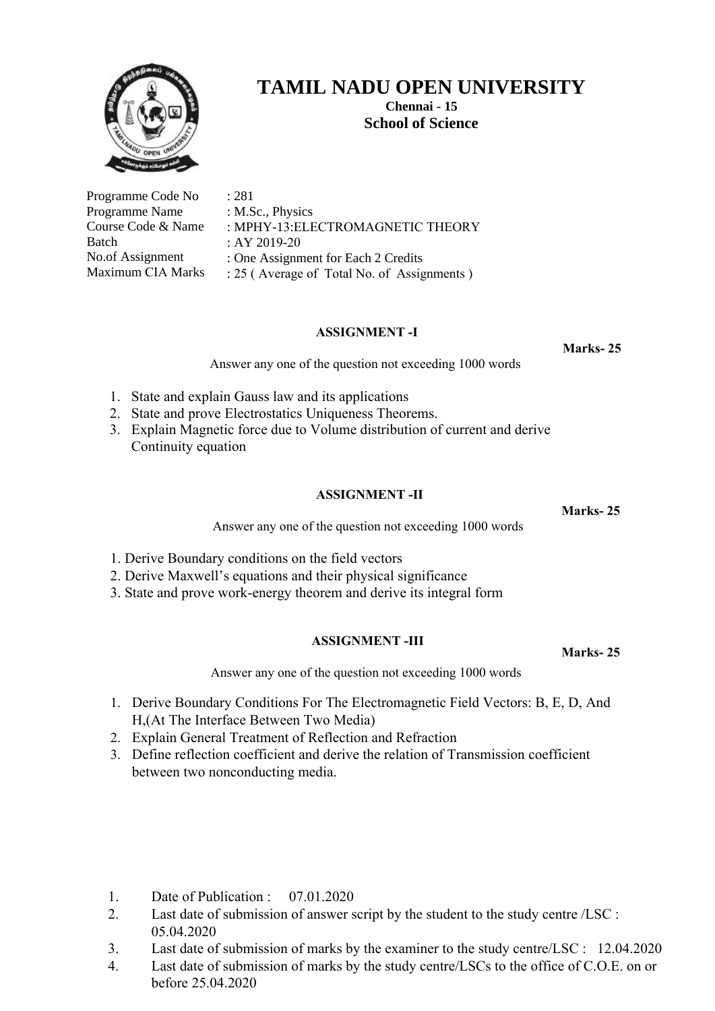

**Chennai - 15 School of Science** 

| Programme Code No  | : 281          |
|--------------------|----------------|
| Programme Name     | : $M.Sc., Phy$ |
| Course Code & Name | : $MPHY-13$    |
| Batch              | : AY 2019-2    |
| No.of Assignment   | : One Assig    |
| Maximum CIA Marks  | $: 25$ (Avera  |

vsics

: ELECTROMAGNETIC THEORY

: AY 2019-20

nment for Each 2 Credits

ige of Total No. of Assignments )

# **ASSIGNMENT -I**

**Marks- 25**

Answer any one of the question not exceeding 1000 words

- 1. State and explain Gauss law and its applications
- 2. State and prove Electrostatics Uniqueness Theorems.
- 3. Explain Magnetic force due to Volume distribution of current and derive Continuity equation

# **ASSIGNMENT -II**

**Marks- 25**

Answer any one of the question not exceeding 1000 words

- 1. Derive Boundary conditions on the field vectors
- 2. Derive Maxwell's equations and their physical significance
- 3. State and prove work-energy theorem and derive its integral form

## **ASSIGNMENT -III**

**Marks- 25**

- 1. Derive Boundary Conditions For The Electromagnetic Field Vectors: B, E, D, And H,(At The Interface Between Two Media)
- 2. Explain General Treatment of Reflection and Refraction
- 3. Define reflection coefficient and derive the relation of Transmission coefficient between two nonconducting media.

- 1. Date of Publication : 07.01.2020
- 2. Last date of submission of answer script by the student to the study centre /LSC : 05.04.2020
- 3. Last date of submission of marks by the examiner to the study centre/LSC : 12.04.2020
- 4. Last date of submission of marks by the study centre/LSCs to the office of C.O.E. on or before 25.04.2020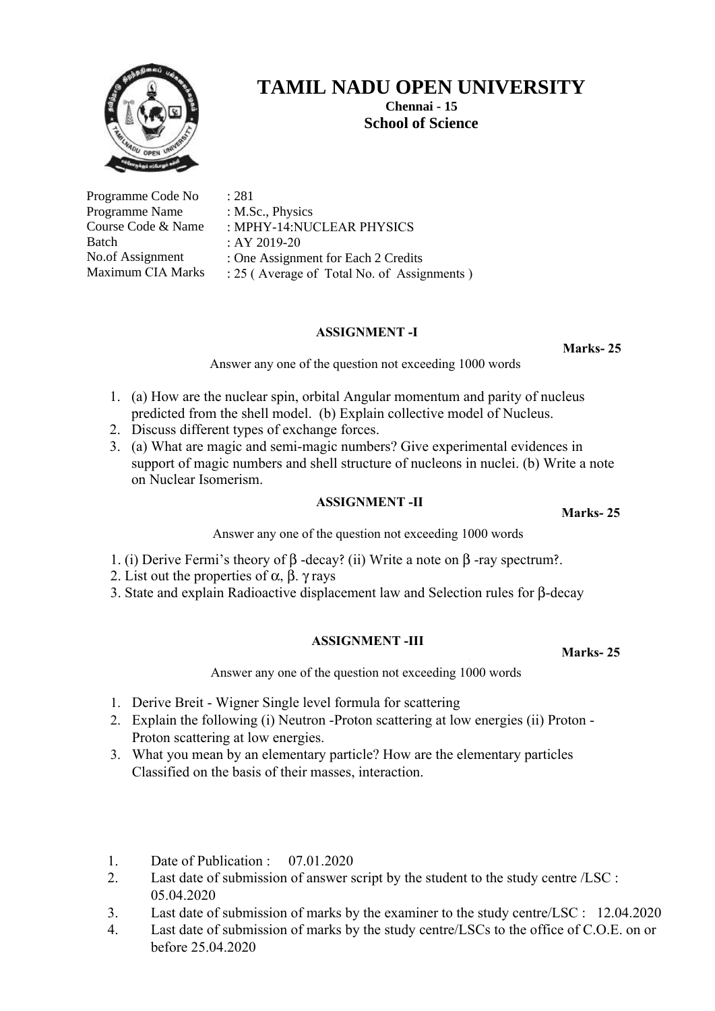

**Chennai - 15 School of Science** 

Programme Name Course Code & Name Batch No.of Assignment Maximum CIA Marks : M.Sc., Physics

: 281

: MPHY-14:NUCLEAR PHYSICS

: AY 2019-20

: One Assignment for Each 2 Credits

: 25 ( Average of Total No. of Assignments )

## **ASSIGNMENT -I**

**Marks- 25**

Answer any one of the question not exceeding 1000 words

- 1. (a) How are the nuclear spin, orbital Angular momentum and parity of nucleus predicted from the shell model. (b) Explain collective model of Nucleus.
- 2. Discuss different types of exchange forces.
- 3. (a) What are magic and semi-magic numbers? Give experimental evidences in support of magic numbers and shell structure of nucleons in nuclei. (b) Write a note on Nuclear Isomerism.

### **ASSIGNMENT -II**

**Marks- 25**

Answer any one of the question not exceeding 1000 words

- 1. (i) Derive Fermi's theory of β -decay? (ii) Write a note on β -ray spectrum?.
- 2. List out the properties of  $\alpha$ ,  $\beta$ . γ rays
- 3. State and explain Radioactive displacement law and Selection rules for β-decay

### **ASSIGNMENT -III**

**Marks- 25**

- 1. Derive Breit Wigner Single level formula for scattering
- 2. Explain the following (i) Neutron -Proton scattering at low energies (ii) Proton Proton scattering at low energies.
- 3. What you mean by an elementary particle? How are the elementary particles Classified on the basis of their masses, interaction.
- 1. Date of Publication : 07.01.2020
- 2. Last date of submission of answer script by the student to the study centre /LSC : 05.04.2020
- 3. Last date of submission of marks by the examiner to the study centre/LSC : 12.04.2020
- 4. Last date of submission of marks by the study centre/LSCs to the office of C.O.E. on or before 25.04.2020